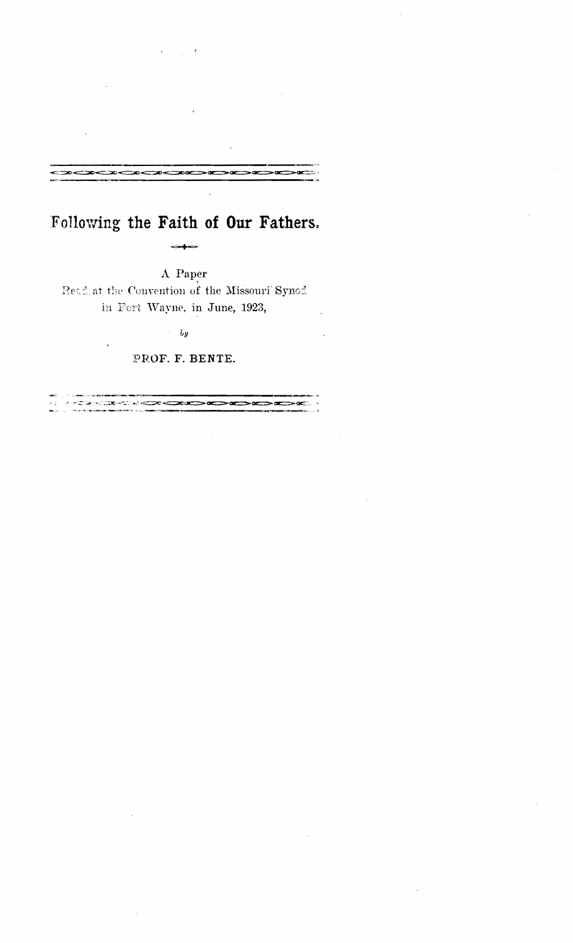# Following the Faith of Our Fathers.

A Paper

Read at the Convention of the Missouri Synod in Fort Wayne, in June, 1923,

 $\overline{b}y$ 

PROF. F. BENTE.

హూ చారు.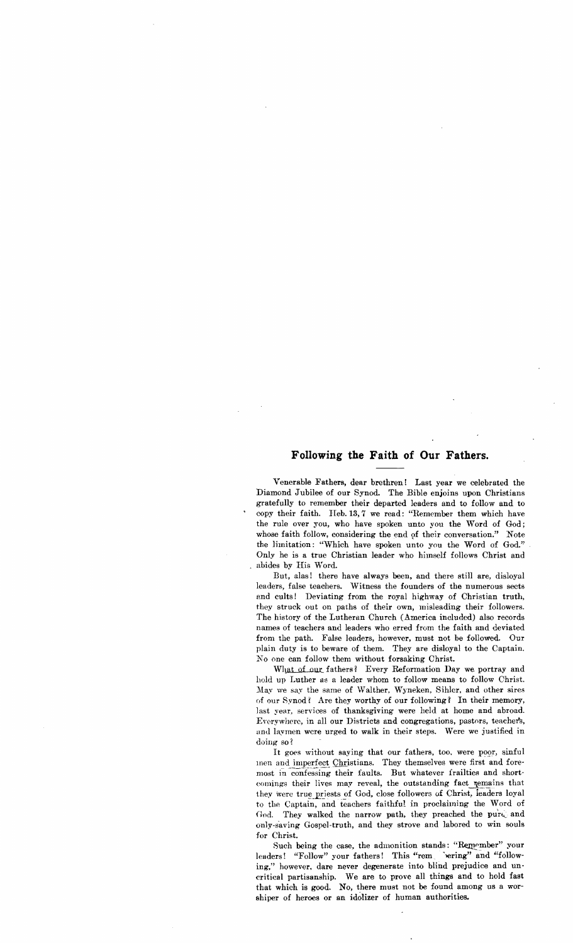# **Following the Faith of Our Fathers.**

Venerable Fathers, dear brethren! Last year we celebrated the Diamond Jubilee of our Synod. The Bible enjoins upon Christians gratefully to remember their departed leaders and to follow and to copy their faith. Heb. 13,7 we read: "Remember them which have the rule over you, who have spoken unto you the Word of God; whose faith follow, considering the end of their conversation." Note the limitation: "Which have spoken unto you the Word of God." Only he is a true Christian leader who himself follows Christ and abides by His Word.

But, alas! there have always been, and there still are, disloyal leaders, false teachers. Witness the founders of the numerous sects and cults! Deviating from the royal highway of Christian truth, they struck out on paths of their own, misleading their followers. The history of the Lutheran Church (America included) also records names of teachers and leaders who erred from the faith and deviated from the path. False leaders, however, must not be followed. Our plain duty is to beware of them. They are disloyal to the Captain. Noone can follow them without forsaking Christ.

What of our fathers? Every Reformation Day we portray and hold up Luther as a leader whom to follow means to follow Christ. May we say the same of Walther, Wyneken, Sihler, and other sires of our Synod? Are they worthy of our following? In their memory, last year, services of thanksgiving were held at home and abroad. Evorywhere, in all our Districts and congregations, pastors, teachers, and laymen were urged to walk in their steps. Were we justified in doing so?

It goes without saying that our fathers, too, were poor, sinful men and imperfect Christians. They themselves were first and foremost in confessing their faults. But whatever frailties and shortcomings their lives may reveal, the outstanding fact zemains that they were true priests of God, close followers of Christ, leaders loyal to the Captain, and teachers faithful in proclaiming the Word of God. They walked the narrow path, they preached the pure and only-saving Gospel-truth, and they strove and labored to win souls for Christ.

Such being the case, the admonition stands: "Remember" your leaders! "Follow" your fathers! This "rem 'vering" and "following," however. dare never degenerate into blind prejudice and uncritical partisanship. We are to prove all things and to hold fast that which is good. No, there must not be found among us a worshiper of heroes or an idolizer of human authorities.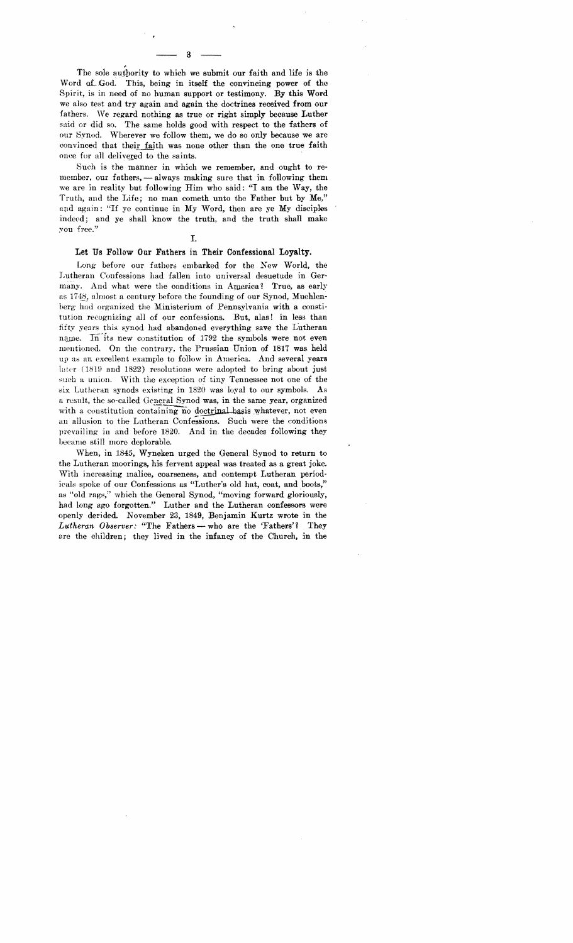The sole authority to which we submit our faith and life is the Word of God. This, being in itself the convincing power of the Spirit, is in need of no human support or testimony. By this Word we also test and try again and again the doctrines received from our fathers. We regard nothing as true or right simply because Luther said or did so. The same holds good with respect to the fathers of our Synod. Wherever we follow them, we do so only because we are convinced that their faith was none other than the one true faith once for all delivered to the saints.

Such is the manner in which we remember, and ought to remember, our fathers, - always making sure that in following them we are in reality but following Him who said: "I am the Way, the Truth, and the Life; no man cometh unto the Father but by Me," and again: "If ye continue in My Word, then are ye My disciples indeed; and ye shall know the truth, and the truth shall make you free."

I.

#### Let Us Follow Our Fathers in Their Confessional Loyalty.

Long- before our fathers embarked for the New World, the Lutheran Confessions had fallen into universal desuetude in Germany. And what were the conditions in America? True, as early as 1748, almost a century before the founding of our Synod, Muehlenberg- had organized the Ministerium of Pennsylvania with a constitution recognizing all of our confessions. But, alas! in less than fifty years this synod had abandoned everything save the Lutheran name. In its new constitution of 1792 the symbols were not even mentioned. On the contrary, the Prussian Union of 1817 was held up as an excellent example to follow in America. And several years later  $(1819 \text{ and } 1822)$  resolutions were adopted to bring about just such a union. With the exception of tiny Tennessee not one of the six Lutheran synods existing in 1820 was loyal to our symbols. As a result, the so-called General Synod was, in the same year, organized with a constitution containing no doctrinal basis whatever, not even an allusion to the Lutheran Confessions. Such were the conditions prevailing in and before 1820. And in the decades following they became still more deplorable.

When, in 1845, Wyneken urged the General Synod to return to the Lutheran moorings, his fervent appeal was treated as a great joke. With increasing malice, coarseness, and contempt Lutheran periodicals spoke of our Confessions as "Luther's old hat, coat, and boots," as "old rags," which the General Synod, "moving forward gloriously, had long ago forgotten." Luther and the Lutheran confessors were openly derided. November 23, 1849, Benjamin Kurtz wrote in the *Lutheran Observer:* "The Fathers - who are the 'Fathers'? They are the children; they lived in the infancy of the Church, in the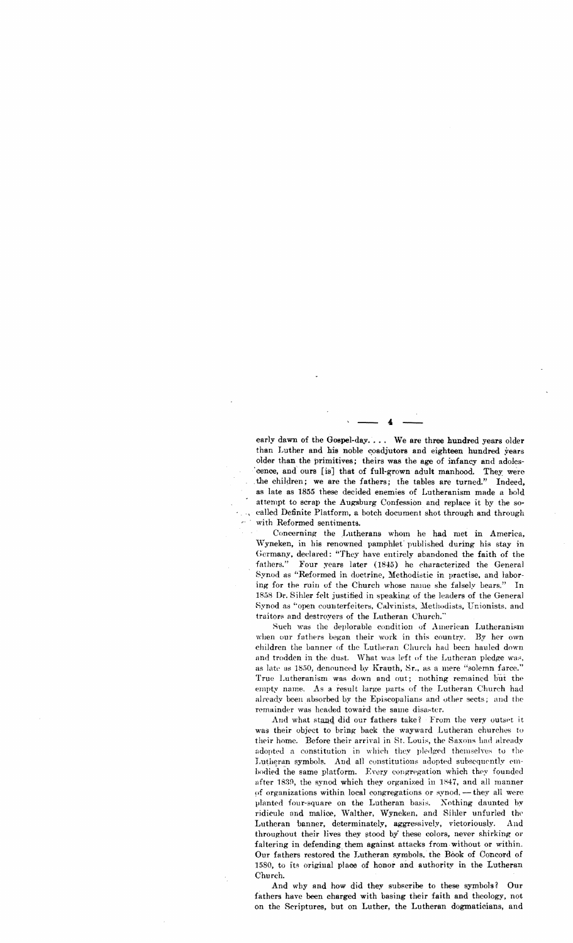early dawn of the Gospel-day. . . . We are three hundred years older than Luther and his noble coadjutors and eighteen hundred years older than the primitives; theirs was the age of infancy and adoles 'cence, and ours [is] that of full-grown adult manhood. They were the children; we are the fathers; the tables are turned." Indeed, as late as 1855 these decided enemies of Lutheranism made a hold attempt to scrap the Augsburg Confession and replace it by the socalled Definite Platform, a botch document shot through and through with Reformed sentiments.

Concerning the Lutherans whom he had met in America, Wyneken, in his renowned pamphlet' published during his stay in Germany, declared: "They have entirely abandoned the faith of the fathers." Four years later (1845) he characterized the General Synod as "Reformed in doctrine, Methodistic in practise. and laboring for the ruin of the Church whose name she falsely bears." In 1858 Dr. Sihler felt justified in speaking of the leaders of the General Synod as "open counterfeiters, Calvinists, Methodists, Unionists, and traitors and destroyers of the Lutheran Church."

Such was the deplorable condition of American Lutheranism when our fathers began their work in this country. By her own children the banner of the Lutheran Church had been hauled down and trodden in the dust. What was left of the Lutheran pledge was, as late as 1850, denounced by Krauth, Sr., as a mere "solemn farce." True Lutheranism was down and out; nothing remained but the empty name. As a result large parts of the Lutheran Church had already been absorbed by the Episcopalians and other sects; and the remainder was headed toward the same disaster.

And what stand did our fathers take? From the very outset it was their object to bring back the wayward Lutheran churches to their home. Before their arrival in St. Louis, the Saxons had already adopted a constitution in which they pledged themselves to the Lutheran symbols. And all constitutions adopted subsequently emhodied the same platform. Every congregation which they founded after 1839, the synod which they organized in 1847, and all manner of organizations within local congregations or synod. -- they all were planted four-square on the Lutheran basis. Nothing daunted by ridicule and malice, Walther, Wyneken, and Sihler unfurled the Lutheran banner, determinately, aggressively, victoriously. And throughout their lives they stood by these colors, never shirking or faltering in defending them against attacks from without or within. Our fathers restored the J.utheran symbols. the Book of Ooncord of 1580, to its original place of honor and authority in the Lutheran Church.

And why and how did they subscribe to these symbols? Our fathers have been charged with basing their faith and theology, not on the Scriptures, but on Luther, the Lutheran dogmaticians, and

 $\cdot$   $\frac{1}{\sqrt{2}}$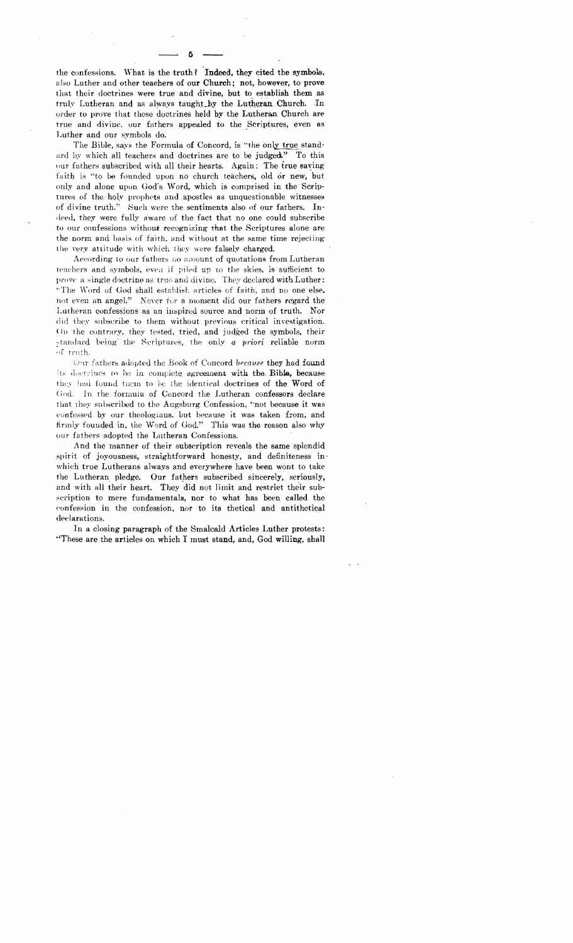the confessions. What is the truth? Indeed, they cited the symbols, also Luther and other teachers of our Church; not, however, to prove that their doctrines were true and divine, but to establish them as truly Lutheran and as always taught by the Lutheran Church. In order to prove that these doctrines held by the Lutheran Church are true and divine, our fathers appealed to the Scriptures, even as Luther and our symbols do.

The Bible, says the Formula of Concord, is "the only true standard by which all teachers and doctrines are to be judged." To this our fathers subscribed with all their hearts. Again: The true saving faith is "to be founded upon no church teachers, old or new, but only and alone upon God's Word, which is comprised in the Seriptures of the holy prophets and apostles as unquestionable witnesses of divine truth." Such were the sentiments also of our fathers.  $In$ deed, they were fully aware of the fact that no one could subscribe to our confessions without recognizing that the Scriptures alone are the norm and basis of faith, and without at the same time rejecting the very attitude with which they were falsely charged.

According to our fathers no amount of quotations from Lutheran teachers and symbols, even if piled up to the skies, is sufficient to prove a single doctrine as true and divine. They declared with Luther: "The Word of God shall establish articles of faith, and no one else, not even an angel." Never for a moment did our fathers regard the Lutheran confessions as an inspired source and norm of truth. Nor did they subscribe to them without previous critical investigation. On the contrary, they tested, tried, and judged the symbols, their standard being the Scriptures, the only a priori reliable norm of truth.

Our fathers adopted the Book of Concord because they had found its doctrines to be in conniete agreement with the Bible, because they had found them to be the identical doctrines of the Word of In the formula of Concord the Lutheran confessors declare  $Good.$ that they subscribed to the Augsburg Confession, "not because it was confessed by our theologians, but because it was taken from, and firmly founded in, the Word of God." This was the reason also why our fathers adopted the Lutheran Confessions.

And the manner of their subscription reveals the same splendid spirit of joyousness, straightforward honesty, and definiteness inwhich true Lutherans always and everywhere have been wont to take the Lutheran pledge. Our fathers subscribed sincerely, seriously, and with all their heart. They did not limit and restrict their subscription to mere fundamentals, nor to what has been called the confession in the confession, nor to its thetical and antithetical declarations.

In a closing paragraph of the Smalcald Articles Luther protests: "These are the articles on which I must stand, and, God willing, shall

к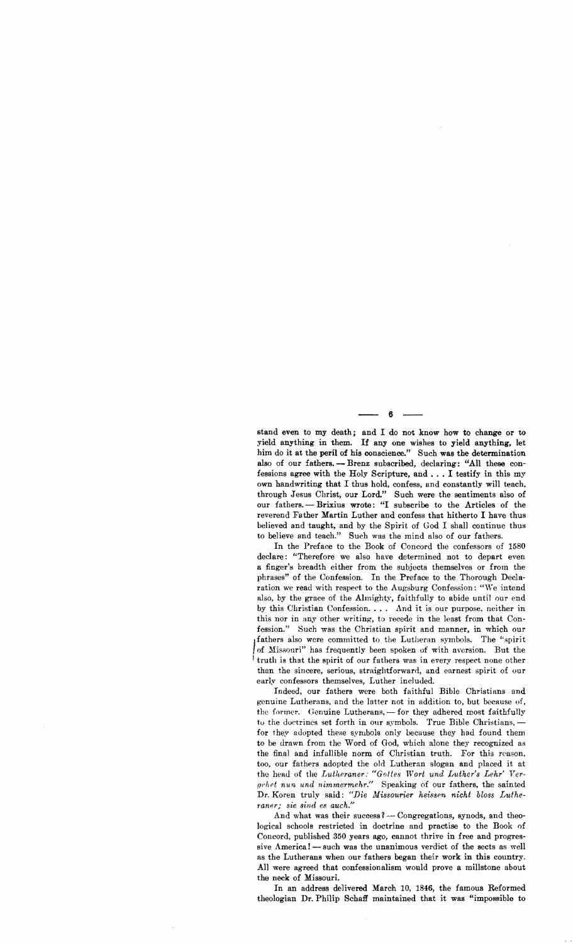stand even to my death; and I do not know how to change or to yield anything in them. If any one wishes to yield anything, let him do it at the peril of his conscience." Such was the determination also of our fathers. - Brenz subscribed, declaring: "All these confessions agree with the Holy Scripture, and ..• I testify in this my own handwriting that I thus hold, confess, and constantly will teach, through Jesus Christ, our Lord." Such were the sentiments also of our fathers. - Brixius wrote: "I subscribe to the Articles of the reverend Father Martin Luther and confess that hitherto I have thus believed and taught, and by the Spirit of God I shall continue thus to believe and teach." Such was the mind also of our fathers.

In the Preface to the Book of Concord the confessors of 1580 declare: "Therefore we also have determined not to depart even a finger's breadth either from the subjects themselves or from the phrases" of the Confession. In the Preface to the Thorough Declaration we read with respect to the Augsburg Confession: "We intend also, by the grace of the Almighty, faithfully to abide until our end by this Christian Confession. . . . And it is our purpose, neither in this nor in any other writing, to recede in the least from that Confession." Such was the Christian spirit and manner, in which our fathers also were committed to the Lutheran symbols. The "spirit *J* of Missouri" has frequently been spoken of with aversion. But the truth is that the spirit of our fathers was in avery vespect none other truth is that the spirit of our fathers was in every respect none other than the sincere, serious, straightforward, and earnest spirit of our early confessors themselves, Luther included.

Indeed, our fathers were both faithful Bible Christians and genuine Lutherans, and the latter not in addition to, but because of, the former. Genuine Lutherans, - for they adhered most faithfully to the doctrines set forth in our symbols. True Bible Christians, for they adopted these symbols only because they had found them to be drawn from the Word of God, which alone they recognized as the final and infallible norm of Christian truth. For this reason, too, our fathers adopted the old Lutheran slogan and placed it at the head of the *Lutheraner: "Gofies Wort und Luther's Lehr' Ver {!('lIft nun und nimmermehr."* Speaking of our fathers, the sainted Dr. Koren truly said: "Die Missourier heissen nicht bloss Luthe-*1'aner; sie sind es auch."* 

And what was their success?  $\sim$  Congregations, synods, and theological schools restricted in doctrine and practise to the Book of Concord, published 350 years ago, cannot thrive in free and progressive America! - such was the unanimous verdict of the sects as well as the Lutherans when our fathers began their work in this country. All were agreed that confessionalism would prove a millstone about the neck of Missouri.

In an address delivered March 10, 1846, the famous Reformed theologian Dr. Philip Schaff maintained that it was "impossible to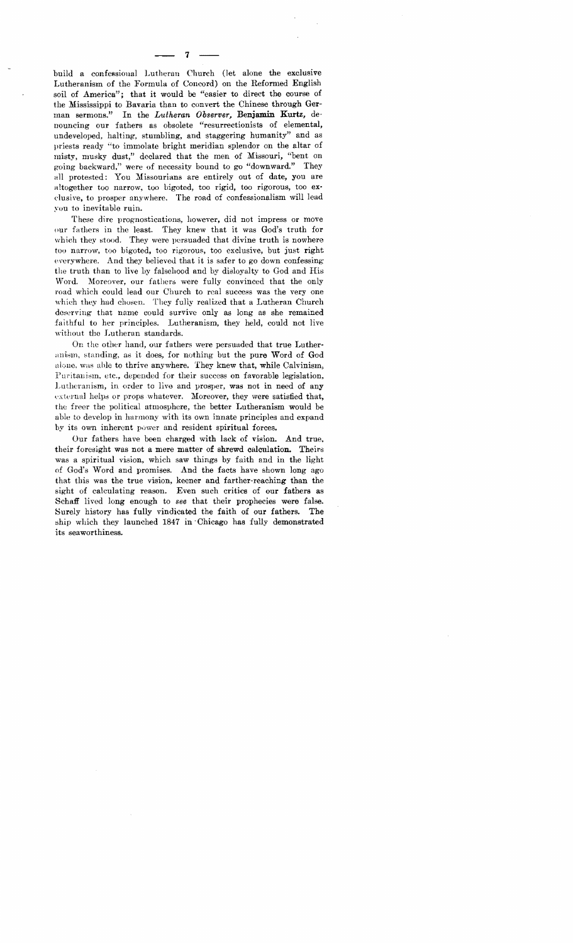build a confessional Lutheran Church (let alone the exclusive Lutheranism of the Formula of Concord) on the Reformed English soil of America"; that it would be "easier to direct the course of the Mississippi to Bavaria than to convert the Chinese through German sermons." In the *Lutheran Observer,* **Benjamin Kurtz,** denouncing our fathers as obsolete "resurrectionists of elemental, undeveloped, halting, stumbling, and staggering humanity" and as priests ready "to immolate bright meridian splendor on the altar of misty, musky dust," declared that the men of Missouri, "bent on backward," were of necessity bound to go "downward." They aII protested: You Missourians are entirely out of date, you are altogether too narrow, too bigoted, too rigid, too rigorous, too exduslve, to prosper anywhere. The road of confessionalism will lead you to inevitable ruin.

These dire prognostications, however, did not impress or move our fathers in the least. They knew that it was God's truth for which they stood. They were persuaded that divine truth is nowhere too narrow, too bigoted, too rigorous, too exclusive, but just right everywhere. And they believed that it is safer to go down confessing the truth than to live by falsehood and by disloyalty to God and His Word. Moreover, our fathers were fully convinced that the only road which could lead our Church to real success was the very one which they had chosen. They fully realized that a Lutheran Church deserving that name could survive only as long as she remained faithful to her principles. Lutheranism, they held, could not live without the Lutheran standards.

On the other hand, our fathers were persuaded that true Lutheranism, standing, as it does, for nothing but the pure Word of God alone, was able to thrive anywhere. They knew that, while Calvinism, Puritanism, etc., depended for their success on favorable legislation, Lutheranism, in order to live and prosper, was not in need of any external helps or props whatever. Moreover, they were satisfied that, the freer the political atmosphere, the better Lutheranism would be able to develop in harmony with its own innate principles and expand by its own inherent power and resident spiritual forces.

Our fathers have been charged with lack of vision. And true, their foresight was not a mere matter of shrewd calculation. Theirs was a spiritual vision, which saw things by faith and in the light of God's Word and promises. And the facts have shown long ago that this was the true vision, keener and farther-reaching than the sight of calculating reason. Even such critics of our fathers as Schaff lived long enough to *see* that their prophecies were false. Surely history has fully vindicated the faith of our fathers. The ship which they launched 1847 in . Chicago has fully demonstrated its seaworthiness.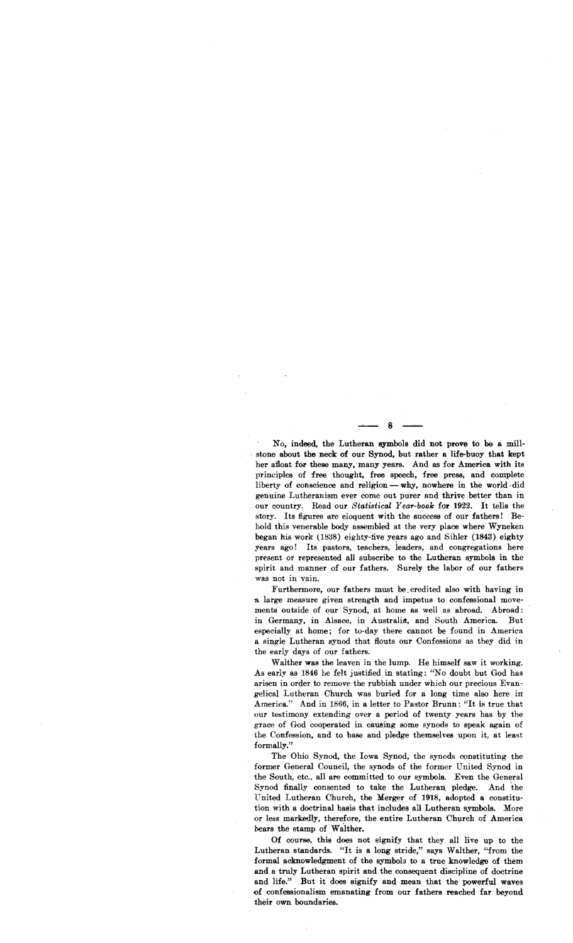No, indeed, the Lutheran eymbols did not· prove to be a mill . stone about the neck of our Synod, but rather a life-buoy that kept her afloat for these many, many years. And as for America with its principles of free thought, free speech, free prese, and complete liberty of conscience and religion  $-\text{why}$ , nowhere in the world did genuine Lutheranism ever come out purer and thrive better than in our country. Read our Statistical Year-book for 1922. It tells the story. Its figures are eloquent with the success of our fathers! Behold this venerable body assembled at the very place where Wyneken began his work  $(1838)$  eighty-five years ago and Sihler  $(1843)$  eighty years ago! Its pastors, teachers, leaders, and congregations here present or represented all subscribe to the Lutheran symbols in the spirit and manner of our fathers. Surely the labor of our fathers was not in vain.

Furthermore, our fathers must be\_credited also with having in a large measure given strength and impetus to confessional movements outside of our Synod, at home as well as abroad. Abroad: in Germany, in Alsace, in Australia, and South America. But especially at home; for to-day there cannot be found in America a single Lutheran synod that flouts our Confessions as they did in the early days of our fathers.

Walther was the leaven in the lump. He himself saw it working. As early as 1846 he felt justified in stating: "No doubt but God has arisen in order to remove the rubbish under which our precious Evangelical Lutheran Church was buried for a long time also here in America." And in 1866, in a letter to Pastor Brunn: "It is true that our testimony extending over a period of twenty years has by the grace of God cooperated in causing some synods to speak again of the Confession, and to base and pledge themselves upon it, at least formally."

The Ohio Synod, the Iowa Synod, the synods constituting the former General Council, the synods of the former United Synod in the South, etc., all are committed to our symbols. Even the General Synod finally consented to take the Lutheran pledge. And the United Lutheran Church, the Merger of 1918, adopted a constitution with a doctrinal basis that includes all Lutheran symbols. More or less markedly, therefore, the entire Lutheran Church of America bears the stamp of Walther.

Of course, this does not signify that they all live up to the Lutheran standards. "It is a long stride," says Walther, "from the formal acknowledgment of the symbols to a true knowledge of them and a truly Lutheran spirit and the consequent discipline of doctrine and life." But it does signify and mean that the powerful waves ()f confeseionalism emanating from our fathers reached far beyond their own boundaries.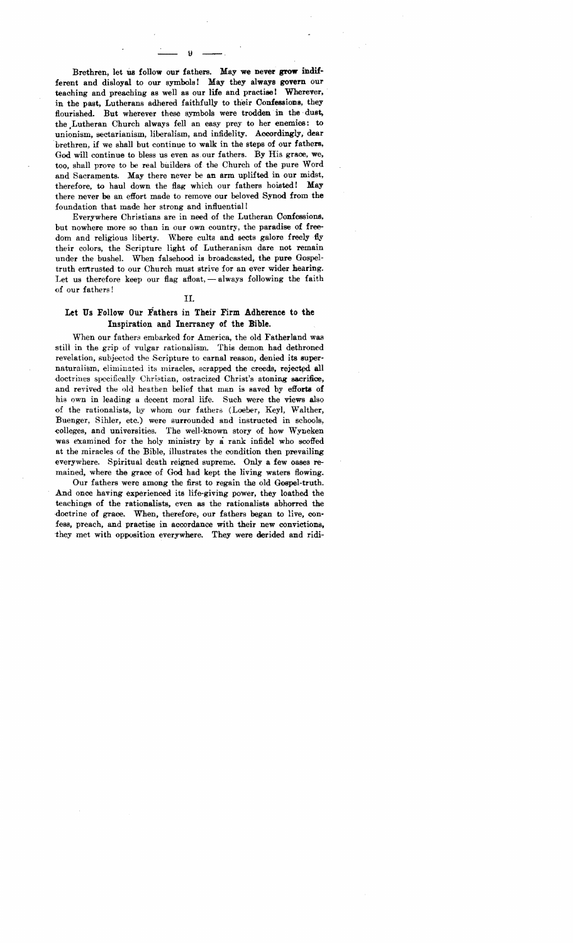Brethren, let us follow our fathers. May we never grow indifferent and disloyal to our symbols! May they always govern our teaching and preaching as well as our life and practise! Wherever, in the past, Lutherans adhered faithfully to their Confessions, they flourished. But wherever these symbols were trodden in the dust, the ,Lutheran Church always fell an easy prey to her enemies: to unionism, sectarianism, liberalism, and infidelity. Accordingly, dear brethren, if we shall but continue to walk in the steps of our fathers, God will continue to bless us even as. our fathers. By His grace, we, too, shall prove to be real builders of the Church of the pure Word and Sacraments. May there never be an arm uplifted in our midst, therefore, to haul down the flag which our fathers hoisted! May there never be an effort made to remove our beloved Synod from the foundation that made her strong and influential!

Everywhere Christians are in need of the Lutheran Confessions, but nowhere more so than in our own country, the paradise of freedom and religious liberty. Where cults and sects galore freely fly their colors, the Scripture light of Lutheranism dare not remain under the bushel. When falsehood is broadcasted, the pure Gospeltruth entrusted to our Church must strive for an ever wider hearing. Let us therefore keep our flag afloat,  $-$  always following the faith of our fathers!

### II.

## Let Us Follow Our Fathers in Their Firm Adherence to the Inspiration and Inerrancy of the Bible.

When our fathers embarked for America, the old Fatherland was still in the grip of vulgar rationalism. This demon had dethroned revelation, subjected the Scripture to carnal reason, denied its supernaturalism, eliminated its miracles, scrapped the creeds, rejected all doctrines specifically Christian, ostracized Christ's atoning sacrifice, and revived the old heathen belief that man is saved by efforta of his own in leading a decent moral iife. Such were the views also of the rationalists, by whom our fathers (Loeber, Keyl, Walther, Buenger, Sibler, etc.) were surrounded and instructed in schools, colleges, and universities. The well-known story of how Wyneken was examined for the holy ministry by a rank infidel who scoffed at the miracles of the Bible. illustrates the condition then prevailing everywhere. Spiritual death reigned supreme. Only a few oases remained, where the grace of God had kept the living waters flowing.

Our fathers were among the first to regain the old Gospel-truth. And once having experienced its life-giving power, they loathed the teachings of the rationalists, even as the rationalists abhorred the doctrine of grace. When, therefore, our fathers began to live, confess, preach, and practise in accordance with their new convictions, they met with opposition everywhere. They were derided and ridi-

 $\overline{\mathbf{9}}$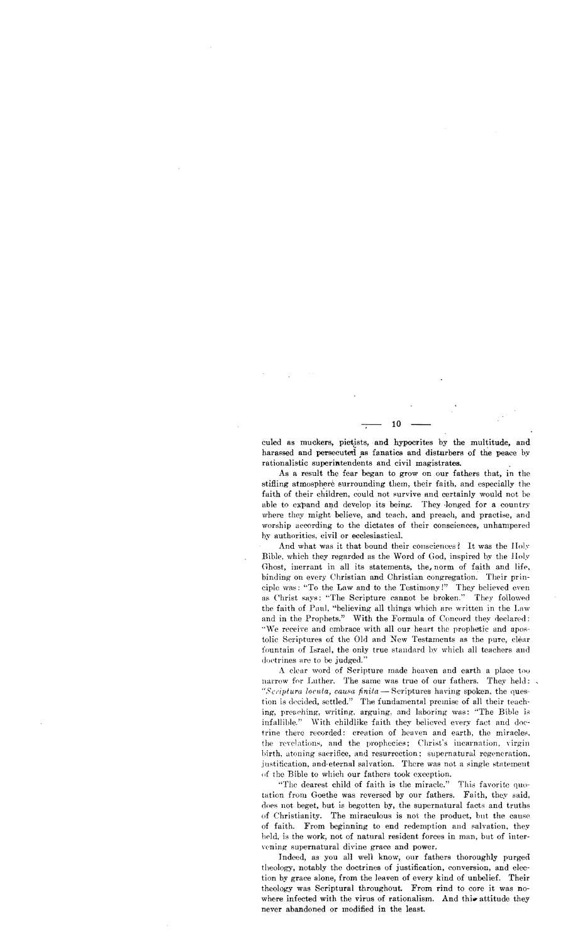culed as muckers, pietists, and hypocrites by the multitude, and harassed and persecuted as fanatics and disturbers of the peace by rationalistic superintendents and civil magistrates.

As a result the fear began to grow on our fathers that, in the stifling atmosphere surrounding them, their faith, and especially the faith of their children, could not survive and certainly would not be able to expand and develop its being. They longed for a country where they might believe, and teach, and preach, and practise, and worship according to the dictates of their consciences, unhampered by authorities, civil or ecclesiastical.

And what was it that bound their consciences? It was the Holy Bible, which they regarded as the Word of God, inspired by the Holy Ghost, inerrant in all its statements, the, norm of faith and life, binding on every Christian and Christian congregation. Their principle was: "To the Law and to the Testimony!" They believed even as Christ says: "The Scripture cannot be broken." They followed the faith of Paul, "believing all things which are written in the Law and in the Prophets." With the Formula of Concord they declared: "We receive and embrace with all our heart the prophetic and apostolic Scriptures of the Old and New Testaments as the pure, clear fountain of Israel, the only true standard by which all teachers and doetrines are to be judged."

A clear word of Scripture made heaven and earth a place too narrow for Luther. The same was true of our fathers. They held: "Scriptura locuta, causa finita - Scriptures having spoken, the question is decided, settled." The fundamental premise of all their teaching, preaching, writing, arguing, and laboring was: "The Bible is infallible." With childlike faith they believed every fact and doetrine there recorded: creation of heaven and earth, the miracles, the revelations, and the prophecies; Christ's incarnation, virgin birth, atoning sacrifice, and resurrection; supernatural regeneration, justification, and eternal salvation. There was not a single statement of the Bible to which our fathers took exception.

"The dearest child of faith is the miracle." This favorite quotation from Goethe was reversed by our fathers. Faith, they said, does not beget, but is begotten by, the supernatural facts and truths of Christianity. The miraculous is not the product, but the cause of faith. From beginning to end redemption and salvation, they held, is the work, not of natural resident forces in man, but of intervening supernatural divine grace and power.

Indeed, as you all well know, our fathers thoroughly purged theology, notably the doctrines of justification, conversion, and election by grace alone, from the leaven of every kind of unbelief. Their theology was Scriptural throughout. From rind to core it was nowhere infected with the virus of rationalism. And this attitude they never abandoned or modified in the least.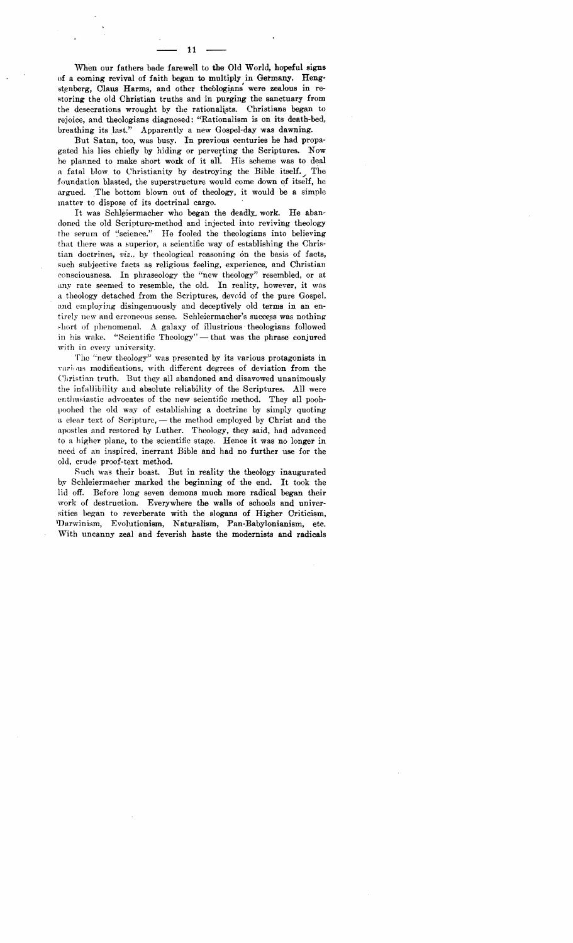When our fathers bade farewell to the Old World, hopeful signs of a coming revival of faith began to multiply in Germany. Hengstenberg, Claus Harms, and other theologians were zealous in restoring the old Christian truths and in purging the sanctuary from the desecrations wrought by the rationalists. Christians began to rejoice, and theologians diagnosed: "Rationalism is on its death-bed, breathing its last." Apparently a new Gospel-day was dawning.

But Satan, too, was busy. In previous centuries he had propagated his lies chiefly by hiding or perverting the Scriptures. Now he planned to make short work of it all. His scheme was to deal a fatal blow to Christianity by destroying the Bible itself. The foundation blasted, the superstructure would come down of itself, he argued. The bottom blown out of theology, it would be a simple matter to dispose of its doctrinal cargo.

It was Schleiermacher who began the deadly work. He abandoned the old Scripture-method and injected into reviving theology the serum of "science." He fooled the theologians into believing that there was a superior, a scientific way of establishing the Christian doctrines, *viz.*, by theological reasoning on the basis of facts, such subjective facts as religious feeling, experience, and Christian consciousness. In phraseology the "new theology" resembled, or at any rate seemed to resemble, the old. In reality, however, it was a theology detached from the Scriptures, devoid of the pure Gospel, and employing disingenuously and deceptively old terms in an entirely new and erroneous sense. Schleiermacher's success was nothing. short of phenomenal. A galaxy of illustrious theologians followed in his wake. "Scientific Theology"  $-$  that was the phrase conjured with in every university.

The "new theology" was presented by its various protagonists in various modifications, with different degrees of deviation from the Christian truth. But they all abandoned and disavowed unanimously the infallibility and absolute reliability of the Scriptures. All were enthusiastic advocates of the new scientific method. They all poohpoohed the old way of establishing a doctrine by simply quoting a clear text of Scripture, - the method employed by Christ and the apostles and restored by Luther. Theology, they said, had advanced to a higher plane, to the scientific stage. Hence it was no longer in need of an inspired, inerrant Bible and had no further use for the old, crude proof-text method.

Such was their boast. But in reality the theology inaugurated by Schleiermacher marked the beginning of the end. It took the lid off. Before long seven demons much more radical began their work of destruction. Everywhere the walls of schools and universities hegan to reverberate with the slogans of Higher Criticism, 'Darwinism, Evolutionism, Naturalism, Pan-Babylonianism, etc. With uncanny zeal and feverish haste the modernists and radicals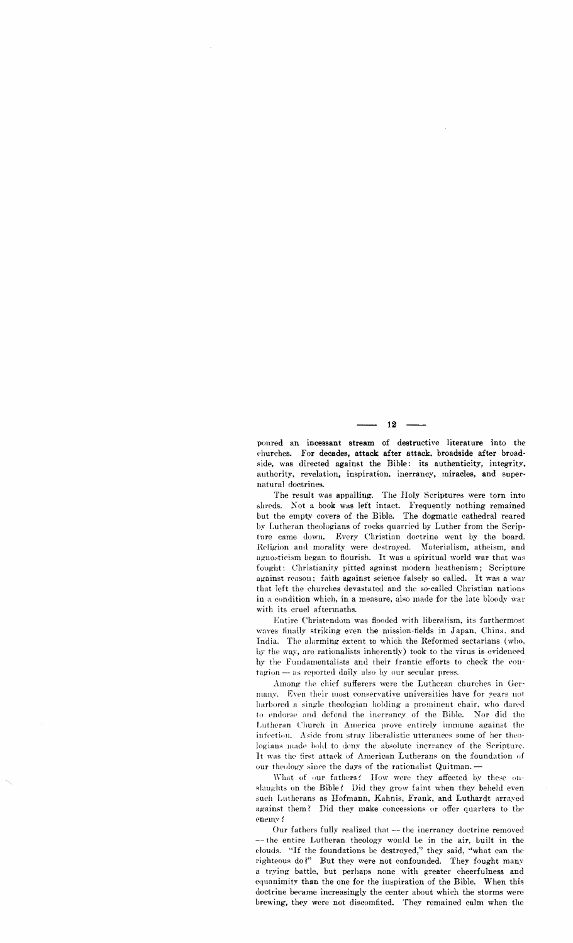poured an incessant stream of destructive literature into the churches. For decades, attack after attack, broadside after broadside, was directed against the Bible: its authenticity, integrity, authority, revelation, inspiration, inerrancy, miracles, and supernatural doctrines.

The result was appalling. The Holy Scriptures were torn into shreds. Not a book was left intact. Frequently nothing remained but the empty covers of the Bible. The dogmatic cathedral reared by Lutheran theologians of rocks quarried by Luther from the Scripture came down. Every Christian doctrine went by the board. Religion and morality were destroyed. Materialism, atheism, and agnosticism began to flourish. It was a spiritual world war that was fought: Christianity pitted against modern heathenism; Scripture against reason: faith against science falsely so called. It was a war that left the churches devastated and the so-called Christian nations in a condition which, in a measure, also made for the late bloody war with its cruel aftermaths.

Entire Christendom was flooded with liberalism, its farthermost waves finally striking even the mission-fields in Japan, China, and India. The alarming extent to which the Reformed sectarians (who, by the way, are rationalists inherently) took to the virus is evidenced by the Fundamentalists and their frantic efforts to check the contagion - as reported daily also by our secular press.

Among the chief sufferers were the Lutheran churches in Germany. Even their most conservative universities have for years not harbored a single theologian holding a prominent chair, who dared to endorse and defend the inerrancy of the Bible. Nor did the Lutheran Church in America prove entirely immune against the infection. Aside from stray liberalistic utterances some of her theologians made bold to deny the absolute inerraney of the Serioture. It was the first attack of American Lutherans on the foundation of our theology since the days of the rationalist Quitman. -

What of our fathers! How were they affected by these onslaughts on the Bible? Did they grow faint when they beheld even such Lutherans as Hofmann, Kahnis, Frank, and Luthardt arrayed against them? Did they make concessions or offer quarters to the enemy f

Our fathers fully realized that — the inerrancy doctrine removed -- the entire Lutheran theology would be in the air, built in the clouds. "If the foundations be destroyed," they said, "what can the righteous do?" But they were not confounded. They fought many a trying battle, but perhaps none with greater cheerfulness and equanimity than the one for the inspiration of the Bible. When this doctrine became increasingly the center about which the storms were brewing, they were not discomfited. They remained calm when the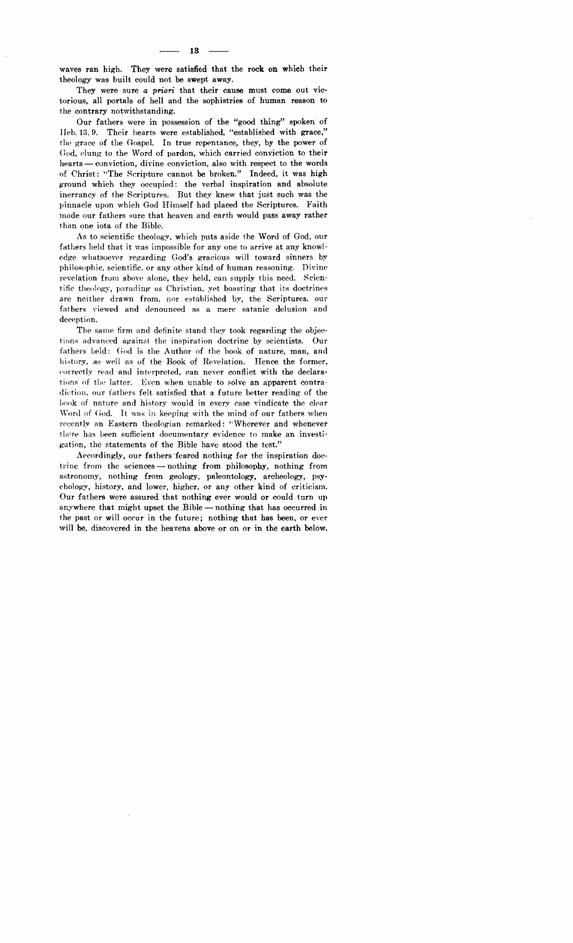waves ran high. They were satisfied that the rock on which their theology was built could not be swept away.

They were sure *a priori* that their cause must come out victorious, all portals of hell and the sophistries of human reason to the contrary notwithstanding.

Our fathers were in possession of the "good thing" spoken of IIeb. 13. 9. Their hearts were established, "established with grace," the grace of the Gospel. In true repentance, they, by the power of God, dung to the Word of pardon, which carried conviction to their  $hearts—conviction, divine conviction, also with respect to the words$ of Christ: '"The Scripture cannot be broken." Indeed, it was high ground which they occupied: the verbal inspiration and absolute inerrancy of the Scriptures. But they knew that just such was the pinnacle upon which God Himself had placed the Scriptures. Faith made our fathers sure that heaven and earth would pass away rather than one iota of the Bible.

As to scientific theology, which puts aside the Word of God, our fathers held that it was impossible for anyone to arrive at any knowl· edge whatsoever regarding God's gracious will toward sinners by philosophic, scientific. or any other kind of human reasoning. Divine revelation from above alone, they held, can supply this need. Scientific theology, parading as Christian, yet boasting that its doctrines are neither drawn from, nor estahlished by, the Scriptures. our fathers viewed and denounced as a mere satanic delusion and deception.

The same firm and definite stand they took regarding the objections advanced against the inspiration doctrine by scientists. Our fathers held: God is the Author of the book of nature, man, and history, as well as of the Book of Revelation. Hence the former, correctly read and interpreted, can never conflict with the declarations of the latter. Even when unable to solve an apparent contradiction, our fathers felt satisfied that a future better reading of the book 01' nature and history would in every case vindicate the clear Word of God. It was in keeping with the mind of our fathers when recentIy an Eastern theologian remarked: *i.* "Wherever and whenever there has been sufficient documentary evidence to make an investigation, the statements of the BibJe have stood the test."

Accordingly, our fathers "feared nothing for the inspiration doctrine from the sciences  $-$  nothing from philosophy, nothing from astronomy, nothing from geology, paleontology, archeology, psychology, history. and lower, higher. or any other kind of criticism. Our fathers were assured that nothing ever would or could turn up anywhere that might upset the Bible - nothing that has occurred in the past or will occur in the future; nothing that has been, or ever will be, discovered in the heavens above or on or in the earth below.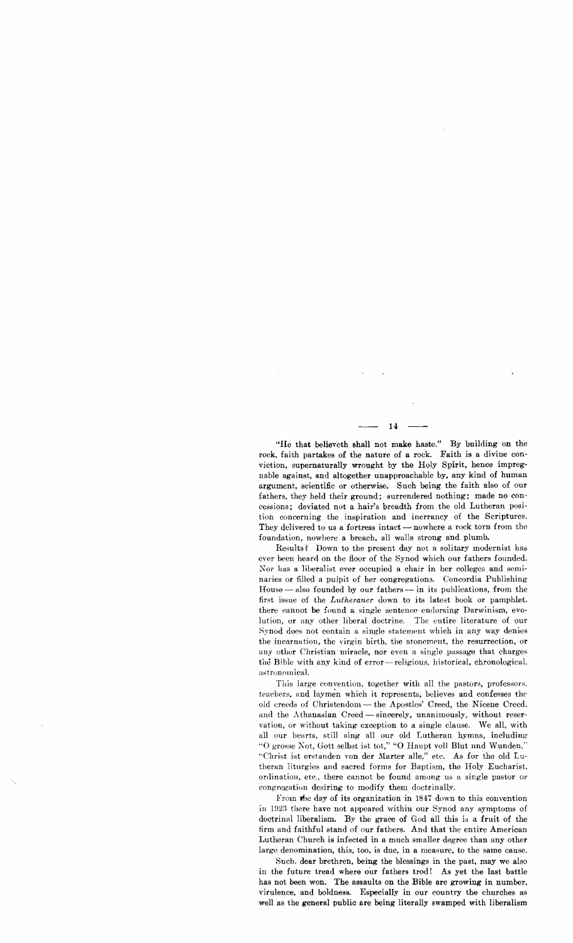"He that believeth shall not make haste." By building on the rock, faith partakes of the nature of a rock. Faith is a divine conviction, supernaturally wrought by the Holy Spirit, hence impregnable against, and altogether unapproachable by, any kind of human argument, scientific or otherwise. Such being the faith also of our fathers, they held their ground; surrendered nothing; made no concessions; deviated not a hair's breadth from the old Lutheran position concerning the inspiration and inerrancy of the Scriptures. They delivered to us a fortress intact - nowhere a rock torn from the foundation, nowhere a breach, all walls strong and plumb.

Results? Down to the present day not a solitary modernist has ever been heard on the floor of the Synod which our fathers founded. Nor has a liberalist ever occupied a chair in her colleges and seminaries or filled a pulpit of her congregations. Concordia Publishing House — also founded by our fathers — in its publications, from the first issue of the *Lutheraner* down to its latest book or pamphlet. there cannot be found a single sentence endorsing Darwinism, evolution, or any other liberal doctrine. The cntire literature of our Synod does not contain a single statement which in any way denies the incarnation, the virgin birth, the atonement, the resurrection, or any other Christian miracle, nor even a single passage that charges the Bible with any kiud of error-religious, historical, chronological, astronomical.

This large convention, together with all the pastors, professors, teachers, and laymen which it represents, believes and confesses the old creeds of Christendom - the Apostles' Creed, the Nicene Creed, and the Athanasian Creed - sincerely, unanimously, without reservation, or without taking exception to a single clause. 'Ve all, with all our hearts, still sing all our old Lutheran hymns, including "O grosse Not, Gott selbst ist tot," "O Haupt voll Blut nnd Wunden," "Christ ist erstanden von der Marter alle," etc. As for the old Lutheran liturgies and sacred forms for Baptism, the Holy Eucharist, ordination, etc., there cannot be found among us a single pastor 01' congregation desiring to modify them doctrinally.

From the day of its organization in 1847 down to this convention in 1923 there have not appeared within our Synod any symptoms of doctrinal liberalism. By the grace of God all this is a fruit of the firm and faithful stand of our fathers. And that the entire American I.utheran Church is infected in a much smaller degree than any other large denomination, this, too, is due, in a measure, to the same cause.

Such. dear brethren, being the blessings in the past, may we also in the future tread where our fathers trod! As yet the last battle has not been won. The assaults on the Bible are growing in number, virulence, and boldness. Especially in our country the churches as well as the general public are being literally swamped with liberalism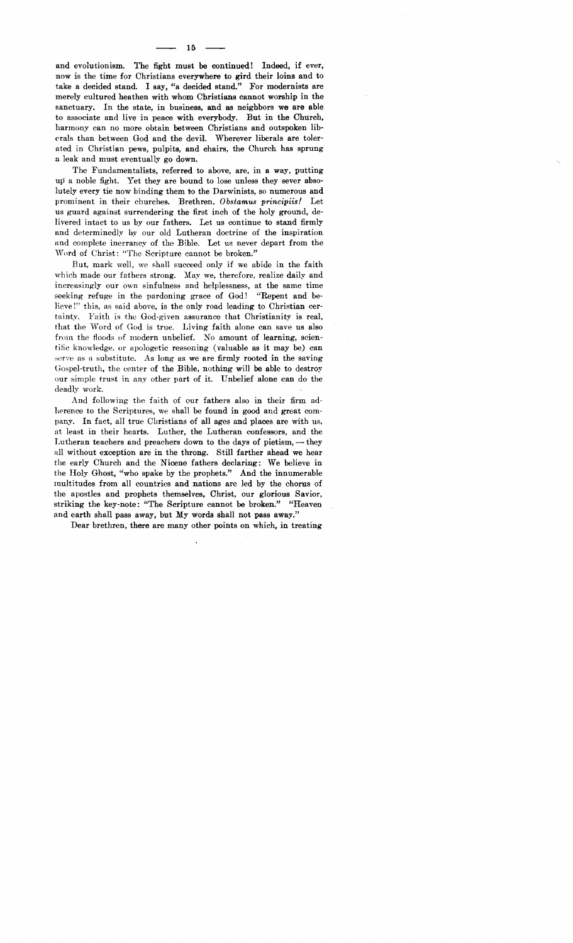and evolutionism. The fight must be continued! Indeed, if ever, now is the time for Christians everywhere to gird their loins and to take a decided stand. I say, "a decided stand." For modernists are merely cultured heathen with whom Christians cannot worship in the sanctuary. In the state, in business, and as neighbors we are able to associate and live in peace with everybody. But in the Church, harmony can no more obtain between Christians and outspoken lib erals than between God and the devil. Wherever liberals are tolerated in Christian pews, pulpits, and chairs, the Church has sprung a leak and must eventually go down.

The Fundamentalists, referred to above, are, in a way, putting up a noble fight. Yet they are bound to lose unless they sever absolutely every tie now binding them to the Darwinists, so numerous and prominent in their churches. Brethren, *Obstamus principiis!* Let us guard against surrendering the first inch of the holy ground, delivered intact to us by our fathers. Let us continue to stand firmly and determinedly by our old Lutheran doctrine of the inspiration and complete inerrancy of the Bible. Let us never depart from the 'Word of Christ: "The Scripture cannot be broken."

But, mark well, we shall succeed only if we abide in the faith which made our fathers strong. May we, therefore, realize daily and increasingly our own sinfulness and helplessness, at the same time seeking refuge in the pardoning grace of God! "Repent and believe!" this, as said above, is the only road leading to Christian cer· tainty. Faith is the God-given assurance that Christianity is real, that the Word of God is true. Living faith alone can save us also from the floods of modern unbelief. No amount of learning, scientific knowledge, or apologetic reasoning (valuable as it may be) can serve as a substitute. As long as we are firmly rooted in the saving Uospel-truth, the center of the Bible, nothing will be able to destroy our simple trust in any other part of it. Unbelief alone can do the deadly work.

And following the faith of our fathers also in their firm adherence to the Scriptures, we shall be found in good and great company. In fact, all true Christians of all ages and places are with us, at least in their hearts. Luther, the Lutheran confessors, and the Lutheran teachers and preachers down to the days of pietism,  $-$  they all without exception are in the throng. Still farther ahead we hear the early Church and the Nicene fathers declaring; We believe in the Holy Ghost, "who spake by the prophets." And the innumerable multitudes from all countries and nations are led by the chorus of the apostles and prophets themselves, Christ, our glorious Savior, striking the key-note: "The Scripture cannot be broken." "Heaven and earth shall pass away, but My words shall not pass away."

Dear brethren, there are many other points on which, in treating